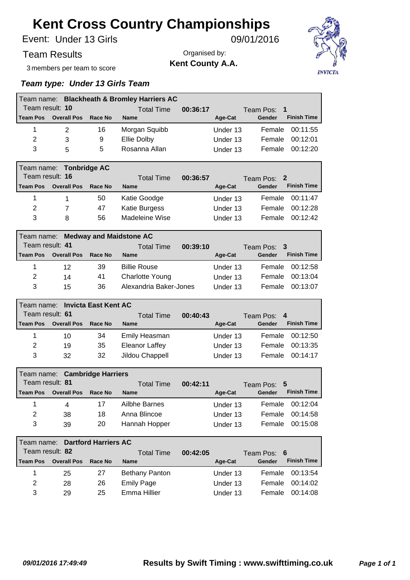Under 13 Girls Event: 09/01/2016

Team Results

Organised by: **Kent County A.A.**



3 members per team to score

#### *Team type: Under 13 Girls Team*

| Team name:              |                                              |                             | <b>Blackheath &amp; Bromley Harriers AC</b> |          |          |                              |  |  |  |
|-------------------------|----------------------------------------------|-----------------------------|---------------------------------------------|----------|----------|------------------------------|--|--|--|
| Team result: 10         |                                              |                             | <b>Total Time</b>                           | 00:36:17 |          | Team Pos:<br>1               |  |  |  |
| <b>Team Pos</b>         | <b>Overall Pos</b>                           | Race No                     | <b>Name</b>                                 |          | Age-Cat  | <b>Finish Time</b><br>Gender |  |  |  |
| 1                       | 2                                            | 16                          | Morgan Squibb                               |          | Under 13 | 00:11:55<br>Female           |  |  |  |
| 2                       | 3                                            | 9                           | Ellie Dolby                                 |          | Under 13 | Female<br>00:12:01           |  |  |  |
| 3                       | 5                                            | 5                           | Rosanna Allan                               |          | Under 13 | 00:12:20<br>Female           |  |  |  |
| Team name:              |                                              | <b>Tonbridge AC</b>         |                                             |          |          |                              |  |  |  |
| Team result: 16         |                                              |                             | <b>Total Time</b>                           | 00:36:57 |          | 2<br>Team Pos:               |  |  |  |
| <b>Team Pos</b>         | <b>Overall Pos</b>                           | Race No                     | <b>Name</b>                                 |          | Age-Cat  | <b>Finish Time</b><br>Gender |  |  |  |
| 1                       | 1                                            | 50                          | Katie Goodge                                |          | Under 13 | 00:11:47<br>Female           |  |  |  |
| 2                       | 7                                            | 47                          | <b>Katie Burgess</b>                        |          | Under 13 | 00:12:28<br>Female           |  |  |  |
| 3                       | 8                                            | 56                          | Madeleine Wise                              |          | Under 13 | 00:12:42<br>Female           |  |  |  |
|                         | <b>Medway and Maidstone AC</b><br>Team name: |                             |                                             |          |          |                              |  |  |  |
| Team result: 41         |                                              |                             | <b>Total Time</b>                           | 00:39:10 |          | Team Pos:<br>3               |  |  |  |
| <b>Team Pos</b>         | <b>Overall Pos</b>                           | Race No                     | <b>Name</b>                                 |          | Age-Cat  | <b>Finish Time</b><br>Gender |  |  |  |
| 1                       | 12                                           | 39                          | <b>Billie Rouse</b>                         |          | Under 13 | 00:12:58<br>Female           |  |  |  |
| $\overline{2}$          | 14                                           | 41                          | <b>Charlotte Young</b>                      |          | Under 13 | Female<br>00:13:04           |  |  |  |
| 3                       | 15                                           | 36                          | Alexandria Baker-Jones                      |          | Under 13 | 00:13:07<br>Female           |  |  |  |
| Team name:              |                                              | <b>Invicta East Kent AC</b> |                                             |          |          |                              |  |  |  |
| Team result: 61         |                                              |                             | <b>Total Time</b>                           | 00:40:43 |          | Team Pos:<br>4               |  |  |  |
| <b>Team Pos</b>         | <b>Overall Pos</b>                           | Race No                     | <b>Name</b>                                 |          | Age-Cat  | <b>Finish Time</b><br>Gender |  |  |  |
| 1                       | 10                                           | 34                          | Emily Heasman                               |          | Under 13 | Female<br>00:12:50           |  |  |  |
| 2                       | 19                                           | 35                          | Eleanor Laffey                              |          | Under 13 | 00:13:35<br>Female           |  |  |  |
| 3                       | 32                                           | 32                          | Jildou Chappell                             |          | Under 13 | 00:14:17<br>Female           |  |  |  |
| Team name:              |                                              | <b>Cambridge Harriers</b>   |                                             |          |          |                              |  |  |  |
| Team result: 81         |                                              |                             | <b>Total Time</b>                           | 00:42:11 |          | 5<br>Team Pos:               |  |  |  |
| <b>Team Pos</b>         | <b>Overall Pos</b>                           | Race No                     | <b>Name</b>                                 |          | Age-Cat  | <b>Finish Time</b><br>Gender |  |  |  |
| 1                       | 4                                            | 17                          | <b>Ailbhe Barnes</b>                        |          | Under 13 | Female<br>00:12:04           |  |  |  |
| $\overline{\mathbf{c}}$ | 38                                           | 18                          | Anna Blincoe                                |          | Under 13 | Female<br>00:14:58           |  |  |  |
| 3                       | 39                                           | 20                          | Hannah Hopper                               |          | Under 13 | Female<br>00:15:08           |  |  |  |
| Team name:              |                                              | <b>Dartford Harriers AC</b> |                                             |          |          |                              |  |  |  |
| Team result: 82         |                                              |                             | <b>Total Time</b>                           | 00:42:05 |          | Team Pos:<br>6               |  |  |  |
| <b>Team Pos</b>         | <b>Overall Pos</b>                           | Race No                     | <b>Name</b>                                 |          | Age-Cat  | <b>Finish Time</b><br>Gender |  |  |  |
| 1                       | 25                                           | 27                          | <b>Bethany Panton</b>                       |          | Under 13 | 00:13:54<br>Female           |  |  |  |
| $\overline{2}$          | 28                                           | 26                          | <b>Emily Page</b>                           |          | Under 13 | Female<br>00:14:02           |  |  |  |

3 29 25 Emma Hillier **13** Under 13 Female 00:14:08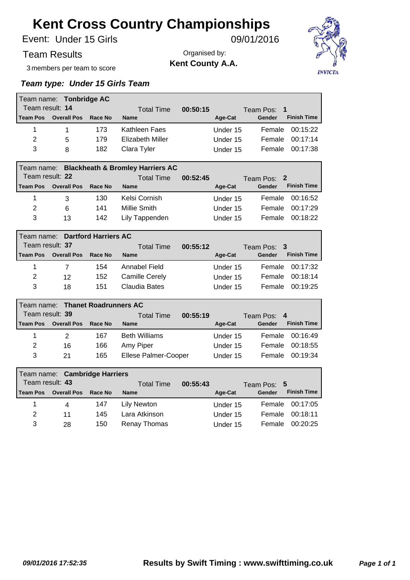Under 15 Girls Event: 09/01/2016

Team Results

Organised by: **Kent County A.A.**



3 members per team to score

### *Team type: Under 15 Girls Team*

|                                           | Team name: Tonbridge AC                                   |                              |                         |          |          |                              |  |  |
|-------------------------------------------|-----------------------------------------------------------|------------------------------|-------------------------|----------|----------|------------------------------|--|--|
| Team result: 14                           |                                                           |                              | <b>Total Time</b>       | 00:50:15 |          | 1<br>Team Pos:               |  |  |
| <b>Team Pos</b>                           | <b>Overall Pos</b>                                        | Race No                      | <b>Name</b>             |          | Age-Cat  | <b>Finish Time</b><br>Gender |  |  |
| 1                                         | 1                                                         | 173                          | Kathleen Faes           |          | Under 15 | 00:15:22<br>Female           |  |  |
| $\overline{2}$                            | 5                                                         | 179                          | <b>Elizabeth Miller</b> |          | Under 15 | Female<br>00:17:14           |  |  |
| 3                                         | 8                                                         | 182                          | Clara Tyler             |          | Under 15 | 00:17:38<br>Female           |  |  |
|                                           | <b>Blackheath &amp; Bromley Harriers AC</b><br>Team name: |                              |                         |          |          |                              |  |  |
| Team result: 22                           |                                                           |                              | <b>Total Time</b>       | 00:52:45 |          | Team Pos:<br>2               |  |  |
| <b>Team Pos</b>                           | <b>Overall Pos</b>                                        | Race No                      | <b>Name</b>             |          | Age-Cat  | <b>Finish Time</b><br>Gender |  |  |
| 1                                         | 3                                                         | 130                          | Kelsi Cornish           |          | Under 15 | Female<br>00:16:52           |  |  |
| $\overline{2}$                            | 6                                                         | 141                          | <b>Millie Smith</b>     |          | Under 15 | 00:17:29<br>Female           |  |  |
| 3                                         | 13                                                        | 142                          | Lily Tappenden          |          | Under 15 | 00:18:22<br>Female           |  |  |
| <b>Dartford Harriers AC</b><br>Team name: |                                                           |                              |                         |          |          |                              |  |  |
| Team result: 37                           |                                                           |                              | <b>Total Time</b>       | 00:55:12 |          | Team Pos:<br>3               |  |  |
| <b>Team Pos</b>                           | <b>Overall Pos</b>                                        | Race No                      | <b>Name</b>             |          | Age-Cat  | <b>Finish Time</b><br>Gender |  |  |
|                                           |                                                           |                              |                         |          |          |                              |  |  |
| 1                                         | 7                                                         | 154                          | Annabel Field           |          | Under 15 | 00:17:32<br>Female           |  |  |
| 2                                         | 12                                                        | 152                          | <b>Camille Cerely</b>   |          | Under 15 | 00:18:14<br>Female           |  |  |
| 3                                         | 18                                                        | 151                          | <b>Claudia Bates</b>    |          | Under 15 | 00:19:25<br>Female           |  |  |
| Team name:                                |                                                           | <b>Thanet Roadrunners AC</b> |                         |          |          |                              |  |  |
| Team result: 39                           |                                                           |                              | <b>Total Time</b>       | 00:55:19 |          | 4<br>Team Pos:               |  |  |
| <b>Team Pos</b>                           | <b>Overall Pos</b>                                        | Race No                      | <b>Name</b>             |          | Age-Cat  | <b>Finish Time</b><br>Gender |  |  |
| 1                                         | $\overline{2}$                                            | 167                          | <b>Beth Williams</b>    |          | Under 15 | Female<br>00:16:49           |  |  |
| $\overline{2}$                            | 16                                                        | 166                          | Amy Piper               |          | Under 15 | Female<br>00:18:55           |  |  |
| 3                                         | 21                                                        | 165                          | Ellese Palmer-Cooper    |          | Under 15 | 00:19:34<br>Female           |  |  |
| Team name: _                              |                                                           | <b>Cambridge Harriers</b>    |                         |          |          |                              |  |  |
| Team result: 43                           |                                                           |                              | <b>Total Time</b>       | 00:55:43 |          | 5<br>Team Pos:               |  |  |
| <b>Team Pos</b>                           | <b>Overall Pos</b>                                        | Race No                      | <b>Name</b>             |          | Age-Cat  | <b>Finish Time</b><br>Gender |  |  |

2 11 145 Lara Atkinson Under 15 Female 00:18:11 3 28 150 Renay Thomas Under 15 Female 00:20:25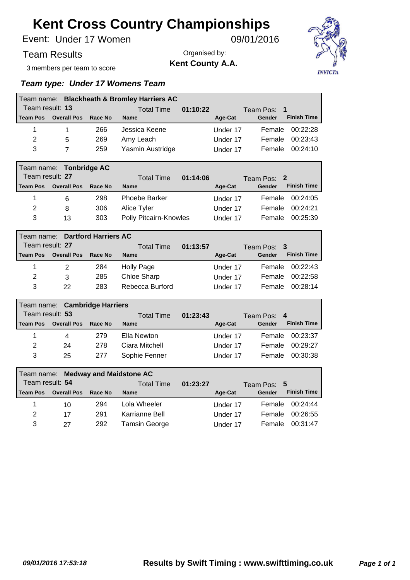Under 17 Women Event: 09/01/2016

### Team Results

3 members per team to score

Organised by: **Kent County A.A.**



### *Team type: Under 17 Womens Team*

|                 | Team name: Blackheath & Bromley Harriers AC |                   |                  |             |          |                              |  |  |  |  |
|-----------------|---------------------------------------------|-------------------|------------------|-------------|----------|------------------------------|--|--|--|--|
| Team result: 13 |                                             | <b>Total Time</b> | 01:10:22         | Team Pos: 1 |          |                              |  |  |  |  |
| l Team Pos      | <b>Overall Pos</b>                          | Race No           | <b>Name</b>      |             | Age-Cat  | <b>Finish Time</b><br>Gender |  |  |  |  |
|                 |                                             | 266               | Jessica Keene    |             | Under 17 | 00:22:28<br>Female           |  |  |  |  |
| 2               | 5                                           | 269               | Amy Leach        |             | Under 17 | 00:23:43<br>Female           |  |  |  |  |
| 3               |                                             | 259               | Yasmin Austridge |             | Under 17 | 00:24:10<br>Female           |  |  |  |  |

|                 | Team name: Tonbridge AC |         |                        |          |                              |  |  |  |  |  |
|-----------------|-------------------------|---------|------------------------|----------|------------------------------|--|--|--|--|--|
| Team result: 27 |                         |         | 01:14:06<br>Total Time |          | Team Pos: 2                  |  |  |  |  |  |
| <b>Team Pos</b> | <b>Overall Pos</b>      | Race No | <b>Name</b>            | Age-Cat  | <b>Finish Time</b><br>Gender |  |  |  |  |  |
|                 | 6                       | 298     | <b>Phoebe Barker</b>   | Under 17 | Female 00:24:05              |  |  |  |  |  |
| 2               | 8                       | 306     | Alice Tyler            | Under 17 | 00:24:21<br>Female           |  |  |  |  |  |
| 3               | 13                      | 303     | Polly Pitcairn-Knowles | Under 17 | 00:25:39<br>Female           |  |  |  |  |  |

|                 | Team name: Dartford Harriers AC |                   |                 |             |          |                              |  |  |  |  |
|-----------------|---------------------------------|-------------------|-----------------|-------------|----------|------------------------------|--|--|--|--|
| Team result: 27 |                                 | <b>Total Time</b> | 01:13:57        | Team Pos: 3 |          |                              |  |  |  |  |
| <b>Team Pos</b> | <b>Overall Pos</b>              | Race No           | <b>Name</b>     |             | Age-Cat  | <b>Finish Time</b><br>Gender |  |  |  |  |
|                 | $\mathcal{P}$                   | 284               | Holly Page      |             | Under 17 | 00:22:43<br>Female           |  |  |  |  |
| 2               | 3                               | 285               | Chloe Sharp     |             | Under 17 | 00:22:58<br>Female           |  |  |  |  |
| 3               | 22.                             | 283               | Rebecca Burford |             | Under 17 | 00.28.14<br><b>Female</b>    |  |  |  |  |

|                 | Team name: Cambridge Harriers |                   |                |  |             |                              |  |  |  |  |
|-----------------|-------------------------------|-------------------|----------------|--|-------------|------------------------------|--|--|--|--|
| Team result: 53 |                               | <b>Total Time</b> | 01:23:43       |  | Team Pos: 4 |                              |  |  |  |  |
| <b>Team Pos</b> | <b>Overall Pos</b>            | Race No           | <b>Name</b>    |  | Age-Cat     | <b>Finish Time</b><br>Gender |  |  |  |  |
| 1               | 4                             | 279               | Ella Newton    |  | Under 17    | 00:23:37<br>Female           |  |  |  |  |
| 2               | 24                            | 278               | Ciara Mitchell |  | Under 17    | 00:29:27<br>Female           |  |  |  |  |
| 3               | 25                            | 277               | Sophie Fenner  |  | Under 17    | 00:30:38<br>Female           |  |  |  |  |

|                 | Team name: Medway and Maidstone AC |                   |                |  |             |        |                    |  |  |  |
|-----------------|------------------------------------|-------------------|----------------|--|-------------|--------|--------------------|--|--|--|
| Team result: 54 |                                    | <b>Total Time</b> | 01:23:27       |  | Team Pos: 5 |        |                    |  |  |  |
| Team Pos        | <b>Overall Pos</b>                 | Race No           | <b>Name</b>    |  | Age-Cat     | Gender | <b>Finish Time</b> |  |  |  |
|                 | 10                                 | 294               | Lola Wheeler   |  | Under 17    |        | Female 00:24:44    |  |  |  |
| 2               | 17                                 | 291               | Karrianne Bell |  | Under 17    | Female | 00:26:55           |  |  |  |
| 3               | 27                                 | 292               | Tamsin George  |  | Under 17    | Female | 00:31:47           |  |  |  |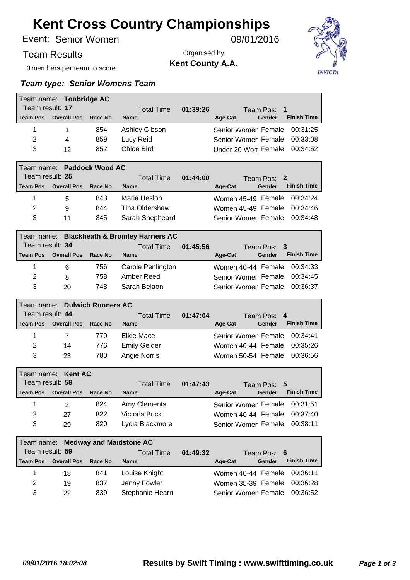Senior Women Event: 09/01/2016

Team Results

Organised by: **Kent County A.A.**



3 members per team to score

|                 | Team name: Tonbridge AC                                   |                           |                                |          |                                         |  |  |  |  |
|-----------------|-----------------------------------------------------------|---------------------------|--------------------------------|----------|-----------------------------------------|--|--|--|--|
| Team result: 17 |                                                           |                           | <b>Total Time</b>              | 01:39:26 | 1<br>Team Pos:                          |  |  |  |  |
| <b>Team Pos</b> | <b>Overall Pos</b>                                        | Race No                   | <b>Name</b>                    |          | <b>Finish Time</b><br>Age-Cat<br>Gender |  |  |  |  |
| $\mathbf{1}$    | $\mathbf{1}$                                              | 854                       | Ashley Gibson                  |          | 00:31:25<br>Senior Womer Female         |  |  |  |  |
| 2               | 4                                                         | 859                       | Lucy Reid                      |          | 00:33:08<br>Senior Womer Female         |  |  |  |  |
| 3               | 12                                                        | 852                       | Chloe Bird                     |          | 00:34:52<br>Under 20 Won Female         |  |  |  |  |
| Team name:      |                                                           | <b>Paddock Wood AC</b>    |                                |          |                                         |  |  |  |  |
| Team result: 25 |                                                           |                           | <b>Total Time</b>              | 01:44:00 | Team Pos:<br>2                          |  |  |  |  |
| <b>Team Pos</b> | <b>Overall Pos</b>                                        | Race No                   | <b>Name</b>                    |          | <b>Finish Time</b><br>Gender<br>Age-Cat |  |  |  |  |
| 1               | 5                                                         | 843                       | Maria Heslop                   |          | Women 45-49 Female<br>00:34:24          |  |  |  |  |
| $\overline{2}$  | 9                                                         | 844                       | Tina Oldershaw                 |          | 00:34:46<br>Women 45-49 Female          |  |  |  |  |
| 3               | 11                                                        | 845                       | Sarah Shepheard                |          | 00:34:48<br>Senior Womer Female         |  |  |  |  |
|                 | <b>Blackheath &amp; Bromley Harriers AC</b><br>Team name: |                           |                                |          |                                         |  |  |  |  |
| Team result: 34 |                                                           |                           | <b>Total Time</b>              | 01:45:56 | 3<br>Team Pos:                          |  |  |  |  |
| <b>Team Pos</b> | <b>Overall Pos</b>                                        | Race No                   | <b>Name</b>                    |          | <b>Finish Time</b><br>Gender<br>Age-Cat |  |  |  |  |
| 1               | 6                                                         | 756                       | Carole Penlington              |          | Women 40-44 Female<br>00:34:33          |  |  |  |  |
| 2               | 8                                                         | 758                       | Amber Reed                     |          | 00:34:45<br>Senior Womer Female         |  |  |  |  |
| 3               | 20                                                        | 748                       | Sarah Belaon                   |          | 00:36:37<br>Senior Womer Female         |  |  |  |  |
|                 |                                                           |                           |                                |          |                                         |  |  |  |  |
| Team name:      |                                                           | <b>Dulwich Runners AC</b> |                                |          |                                         |  |  |  |  |
| Team result: 44 |                                                           |                           | <b>Total Time</b>              | 01:47:04 | Team Pos:<br>4                          |  |  |  |  |
| <b>Team Pos</b> | <b>Overall Pos</b>                                        | Race No                   | <b>Name</b>                    |          | <b>Finish Time</b><br>Age-Cat<br>Gender |  |  |  |  |
| 1               | $\overline{7}$                                            | 779                       | <b>Elkie Mace</b>              |          | 00:34:41<br>Senior Womer Female         |  |  |  |  |
| 2               | 14                                                        | 776                       | <b>Emily Gelder</b>            |          | 00:35:26<br>Women 40-44 Female          |  |  |  |  |
| 3               | 23                                                        | 780                       | Angie Norris                   |          | 00:36:56<br>Women 50-54 Female          |  |  |  |  |
| Team name:      | <b>Kent AC</b>                                            |                           |                                |          |                                         |  |  |  |  |
| Team result: 58 |                                                           |                           | <b>Total Time</b>              | 01:47:43 | 5<br>Team Pos:                          |  |  |  |  |
| <b>Team Pos</b> | <b>Overall Pos</b>                                        | <b>Race No</b>            | <b>Name</b>                    |          | <b>Finish Time</b><br>Age-Cat<br>Gender |  |  |  |  |
| 1               | 2                                                         | 824                       | Amy Clements                   |          | Senior Womer Female<br>00:31:51         |  |  |  |  |
| $\overline{2}$  | 27                                                        | 822                       | Victoria Buck                  |          | Women 40-44 Female<br>00:37:40          |  |  |  |  |
| 3               | 29                                                        | 820                       | Lydia Blackmore                |          | 00:38:11<br>Senior Womer Female         |  |  |  |  |
| Team name:      |                                                           |                           | <b>Medway and Maidstone AC</b> |          |                                         |  |  |  |  |
| Team result: 59 |                                                           |                           | <b>Total Time</b>              | 01:49:32 | Team Pos:<br>6                          |  |  |  |  |
| <b>Team Pos</b> | <b>Overall Pos</b>                                        | <b>Race No</b>            | <b>Name</b>                    |          | <b>Finish Time</b><br>Age-Cat<br>Gender |  |  |  |  |
| 1               | 18                                                        | 841                       | Louise Knight                  |          | Women 40-44 Female<br>00:36:11          |  |  |  |  |
| $\overline{2}$  | 19                                                        | 837                       | Jenny Fowler                   |          | 00:36:28<br>Women 35-39 Female          |  |  |  |  |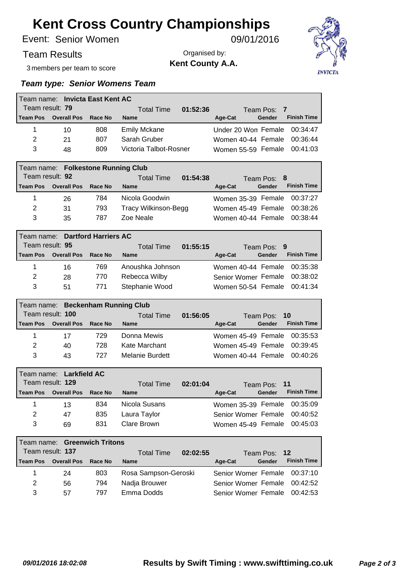Senior Women Event: 09/01/2016

### Team Results

3 members per team to score

Organised by: **Kent County A.A.**



|                 | Team name: Invicta East Kent AC    |         |                               |                                         |
|-----------------|------------------------------------|---------|-------------------------------|-----------------------------------------|
| Team result: 79 |                                    |         | 01:52:36<br><b>Total Time</b> | Team Pos: 7                             |
| <b>Team Pos</b> | <b>Overall Pos</b>                 | Race No | <b>Name</b>                   | <b>Finish Time</b><br>Gender<br>Age-Cat |
| 1               | 10                                 | 808     | <b>Emily Mckane</b>           | 00:34:47<br>Under 20 Won Female         |
| 2               | 21                                 | 807     | Sarah Gruber                  | 00:36:44<br>Women 40-44 Female          |
| 3               | 48                                 | 809     | Victoria Talbot-Rosner        | 00:41:03<br>Women 55-59 Female          |
|                 |                                    |         |                               |                                         |
|                 | Team name: Folkestone Running Club |         |                               |                                         |
|                 |                                    |         |                               |                                         |
|                 | Team result: 92                    |         | <b>Total Time</b><br>01:54:38 | Team Pos: 8                             |
| <b>Team Pos</b> | <b>Overall Pos</b>                 | Race No | <b>Name</b>                   | <b>Finish Time</b><br>Age-Cat<br>Gender |
| 1               | 26                                 | 784     | Nicola Goodwin                | 00:37:27<br>Women 35-39 Female          |
| 2               | 31                                 | 793     | Tracy Wilkinson-Begg          | 00:38:26<br>Women 45-49 Female          |

|                 | Team name: Dartford Harriers AC |                        |                  |                                         |  |  |  |  |  |  |
|-----------------|---------------------------------|------------------------|------------------|-----------------------------------------|--|--|--|--|--|--|
| Team result: 95 |                                 | 01:55:15<br>Total Time | Team Pos: 9      |                                         |  |  |  |  |  |  |
| <b>Team Pos</b> | <b>Overall Pos</b>              | Race No                | <b>Name</b>      | <b>Finish Time</b><br>Gender<br>Age-Cat |  |  |  |  |  |  |
|                 | 16                              | 769                    | Anoushka Johnson | Women 40-44 Female 00:35:38             |  |  |  |  |  |  |
| 2               | 28                              | 770                    | Rebecca Wilby    | Senior Womer Female 00:38:02            |  |  |  |  |  |  |
| 3               | 51                              | 771                    | Stephanie Wood   | Women 50-54 Female 00:41:34             |  |  |  |  |  |  |

|                  | Team name: Beckenham Running Club |            |                 |  |                    |              |        |                             |  |  |  |
|------------------|-----------------------------------|------------|-----------------|--|--------------------|--------------|--------|-----------------------------|--|--|--|
| Team result: 100 |                                   | Total Time | 01:56:05        |  |                    | Team Pos: 10 |        |                             |  |  |  |
| <b>Team Pos</b>  | <b>Overall Pos</b>                | Race No    | <b>Name</b>     |  | Age-Cat            |              | Gender | <b>Finish Time</b>          |  |  |  |
|                  | 17                                | 729        | Donna Mewis     |  |                    |              |        | Women 45-49 Female 00:35:53 |  |  |  |
| 2                | 40                                | 728        | Kate Marchant   |  |                    |              |        | Women 45-49 Female 00:39:45 |  |  |  |
| 3                | 43                                | 727        | Melanie Burdett |  | Women 40-44 Female |              |        | 00:40:26                    |  |  |  |

|                  | Team name: Larkfield AC |                   |               |  |                              |        |                    |
|------------------|-------------------------|-------------------|---------------|--|------------------------------|--------|--------------------|
| Team result: 129 |                         | <b>Total Time</b> | 02:01:04      |  | Team Pos: 11                 |        |                    |
| l Team Pos       | <b>Overall Pos</b>      | Race No           | <b>Name</b>   |  | Age-Cat                      | Gender | <b>Finish Time</b> |
|                  | 13                      | 834               | Nicola Susans |  | Women 35-39 Female 00:35:09  |        |                    |
| 2                | 47                      | 835               | Laura Taylor  |  | Senior Womer Female 00:40:52 |        |                    |
| 3                | 69                      | 831               | Clare Brown   |  | Women 45-49 Female 00:45:03  |        |                    |

| Team name: Greenwich Tritons |                    |         |                               |                                         |  |  |  |  |
|------------------------------|--------------------|---------|-------------------------------|-----------------------------------------|--|--|--|--|
| Team result: 137             |                    |         | 02:02:55<br><b>Total Time</b> | Team Pos: 12                            |  |  |  |  |
| Team Pos                     | <b>Overall Pos</b> | Race No | <b>Name</b>                   | <b>Finish Time</b><br>Gender<br>Age-Cat |  |  |  |  |
|                              | 24                 | 803     | Rosa Sampson-Geroski          | Senior Womer Female 00:37:10            |  |  |  |  |
| 2                            | 56                 | 794     | Nadja Brouwer                 | Senior Womer Female 00:42:52            |  |  |  |  |
| 3                            | 57                 | 797     | Emma Dodds                    | Senior Womer Female 00:42:53            |  |  |  |  |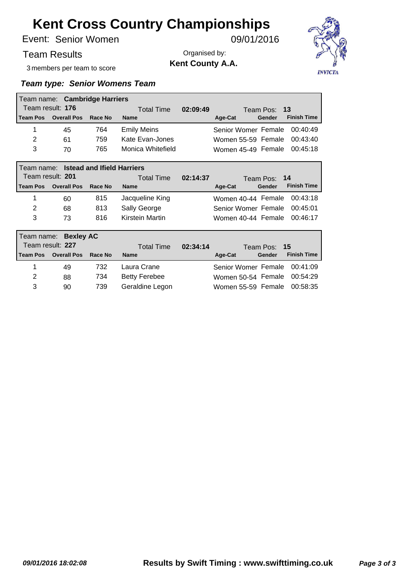Senior Women Event: 09/01/2016

### Team Results

3 members per team to score

Organised by: **Kent County A.A.**



|                 | Team name: Cambridge Harriers         |         |                      |          |                     |                              |  |
|-----------------|---------------------------------------|---------|----------------------|----------|---------------------|------------------------------|--|
|                 | Team result: 176                      |         | <b>Total Time</b>    | 02:09:49 |                     | Team Pos: 13                 |  |
| <b>Team Pos</b> | <b>Overall Pos</b>                    | Race No | <b>Name</b>          |          | Age-Cat             | <b>Finish Time</b><br>Gender |  |
| 1               | 45                                    | 764     | <b>Emily Meins</b>   |          | Senior Womer Female | 00:40:49                     |  |
| 2               | 61                                    | 759     | Kate Evan-Jones      |          | Women 55-59 Female  | 00:43:40                     |  |
| 3               | 70                                    | 765     | Monica Whitefield    |          | Women 45-49 Female  | 00:45:18                     |  |
|                 | Team name: Istead and Ifield Harriers |         |                      |          |                     |                              |  |
|                 | Team result: 201                      |         | <b>Total Time</b>    | 02:14:37 |                     | Team Pos: 14                 |  |
| <b>Team Pos</b> | <b>Overall Pos</b>                    | Race No | <b>Name</b>          |          | Age-Cat             | <b>Finish Time</b><br>Gender |  |
| 1               | 60                                    | 815     | Jacqueline King      |          | Women 40-44 Female  | 00:43:18                     |  |
| 2               | 68                                    | 813     | Sally George         |          | Senior Womer Female | 00:45:01                     |  |
| 3               | 73                                    | 816     | Kirstein Martin      |          | Women 40-44 Female  | 00:46:17                     |  |
|                 | Team name: Bexley AC                  |         |                      |          |                     |                              |  |
|                 | Team result: 227                      |         | <b>Total Time</b>    | 02:34:14 |                     | 15<br>Team Pos:              |  |
| <b>Team Pos</b> | <b>Overall Pos</b>                    | Race No | <b>Name</b>          |          | Age-Cat             | <b>Finish Time</b><br>Gender |  |
| 1               | 49                                    | 732     | Laura Crane          |          | Senior Womer Female | 00:41:09                     |  |
| 2               | 88                                    | 734     | <b>Betty Ferebee</b> |          | Women 50-54 Female  | 00:54:29                     |  |
| 3               | 90                                    | 739     | Geraldine Legon      |          | Women 55-59 Female  | 00:58:35                     |  |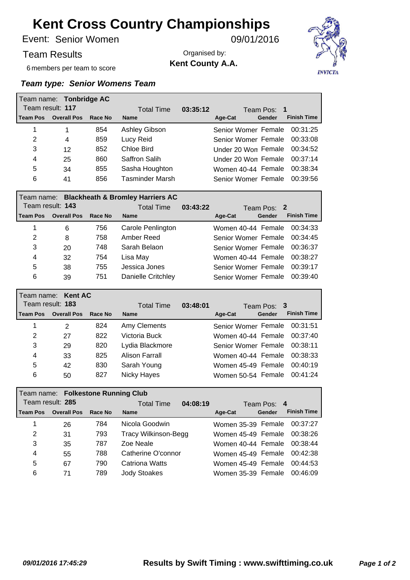Senior Women Event: 09/01/2016

6 members per team to score

Team Results

Organised by: **Kent County A.A.**



|            | Team name: Tonbridge AC |         |                                       |  |                              |        |                    |
|------------|-------------------------|---------|---------------------------------------|--|------------------------------|--------|--------------------|
|            | Team result: 117        |         | 03:35:12<br>Total Time<br>Team Pos: 1 |  |                              |        |                    |
| l Team Pos | <b>Overall Pos</b>      | Race No | <b>Name</b>                           |  | Age-Cat                      | Gender | <b>Finish Time</b> |
|            |                         | 854     | Ashley Gibson                         |  | Senior Womer Female          |        | 00:31:25           |
| 2          | 4                       | 859     | Lucy Reid                             |  | Senior Womer Female          |        | 00:33:08           |
| 3          | 12                      | 852     | Chloe Bird                            |  | Under 20 Won Female 00:34:52 |        |                    |
| 4          | 25                      | 860     | Saffron Salih                         |  | Under 20 Won Female 00:37:14 |        |                    |
| 5          | 34                      | 855     | Sasha Houghton                        |  | Women 40-44 Female           |        | 00:38:34           |
| 6          | 41                      | 856     | Tasminder Marsh                       |  | Senior Womer Female          |        | 00:39:56           |

|   | Team name: Blackheath & Bromley Harriers AC |         |                    |          |                     |  |        |                    |  |
|---|---------------------------------------------|---------|--------------------|----------|---------------------|--|--------|--------------------|--|
|   | Team result: 143                            |         | <b>Total Time</b>  | 03:43:22 | Team Pos: 2         |  |        |                    |  |
|   | Team Pos Overall Pos                        | Race No | <b>Name</b>        |          | Age-Cat             |  | Gender | <b>Finish Time</b> |  |
|   | 6                                           | 756     | Carole Penlington  |          | Women 40-44 Female  |  |        | 00:34:33           |  |
| 2 | 8                                           | 758     | Amber Reed         |          | Senior Womer Female |  |        | 00:34:45           |  |
| 3 | 20                                          | 748     | Sarah Belaon       |          | Senior Womer Female |  |        | 00:36:37           |  |
| 4 | 32                                          | 754     | Lisa May           |          | Women 40-44 Female  |  |        | 00:38:27           |  |
| 5 | 38                                          | 755     | Jessica Jones      |          | Senior Womer Female |  |        | 00:39:17           |  |
| 6 | 39                                          | 751     | Danielle Critchley |          | Senior Womer Female |  |        | 00:39:40           |  |

|                  | Team name: Kent AC |         |                   |          |                     |             |                    |
|------------------|--------------------|---------|-------------------|----------|---------------------|-------------|--------------------|
| Team result: 183 |                    |         | <b>Total Time</b> | 03:48:01 |                     | Team Pos: 3 |                    |
| <b>Team Pos</b>  | <b>Overall Pos</b> | Race No | <b>Name</b>       |          | Age-Cat             | Gender      | <b>Finish Time</b> |
|                  | 2                  | 824     | Amy Clements      |          | Senior Womer Female |             | 00:31:51           |
| 2                | 27                 | 822     | Victoria Buck     |          | Women 40-44 Female  |             | 00:37:40           |
| 3                | 29                 | 820     | Lydia Blackmore   |          | Senior Womer Female |             | 00:38:11           |
| 4                | 33                 | 825     | Alison Farrall    |          | Women 40-44 Female  |             | 00:38:33           |
| 5                | 42                 | 830     | Sarah Young       |          | Women 45-49 Female  |             | 00:40:19           |
| 6                | 50                 | 827     | Nicky Hayes       |          | Women 50-54 Female  |             | 00:41:24           |

|                  | Team name: Folkestone Running Club |         |                             |                    |        |                    |  |  |
|------------------|------------------------------------|---------|-----------------------------|--------------------|--------|--------------------|--|--|
| Team result: 285 |                                    |         | 04:08:19<br>Total Time      | Team Pos: 4        |        |                    |  |  |
| <b>Team Pos</b>  | <b>Overall Pos</b>                 | Race No | <b>Name</b>                 | Age-Cat            | Gender | <b>Finish Time</b> |  |  |
|                  | 26                                 | 784     | Nicola Goodwin              | Women 35-39 Female |        | 00:37:27           |  |  |
| 2                | 31                                 | 793     | <b>Tracy Wilkinson-Begg</b> | Women 45-49 Female |        | 00:38:26           |  |  |
| 3                | 35                                 | 787     | Zoe Neale                   | Women 40-44 Female |        | 00:38:44           |  |  |
| 4                | 55                                 | 788     | Catherine O'connor          | Women 45-49 Female |        | 00:42:38           |  |  |
| 5                | 67                                 | 790     | Catriona Watts              | Women 45-49 Female |        | 00:44:53           |  |  |
| 6                | 71                                 | 789     | <b>Jody Stoakes</b>         | Women 35-39 Female |        | 00:46:09           |  |  |